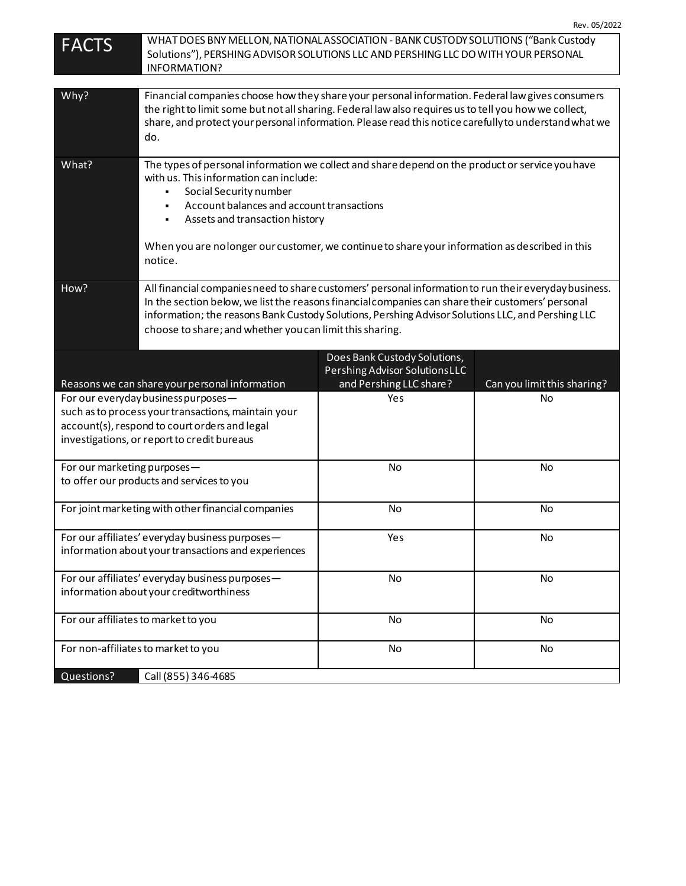|  | Rev. 05/2022 |
|--|--------------|
|--|--------------|

| <b>FACTS</b>                                                                                                                                                                               | WHAT DOES BNY MELLON, NATIONAL ASSOCIATION - BANK CUSTODY SOLUTIONS ("Bank Custody<br>Solutions"), PERSHING ADVISOR SOLUTIONS LLC AND PERSHING LLC DO WITH YOUR PERSONAL<br>INFORMATION?                                                                                                                                                                                    |                                                               |                             |
|--------------------------------------------------------------------------------------------------------------------------------------------------------------------------------------------|-----------------------------------------------------------------------------------------------------------------------------------------------------------------------------------------------------------------------------------------------------------------------------------------------------------------------------------------------------------------------------|---------------------------------------------------------------|-----------------------------|
|                                                                                                                                                                                            |                                                                                                                                                                                                                                                                                                                                                                             |                                                               |                             |
| Why?                                                                                                                                                                                       | Financial companies choose how they share your personal information. Federal law gives consumers<br>the right to limit some but not all sharing. Federal law also requires us to tell you how we collect,<br>share, and protect your personal information. Please read this notice carefully to understand what we<br>do.                                                   |                                                               |                             |
| What?                                                                                                                                                                                      | The types of personal information we collect and share depend on the product or service you have<br>with us. This information can include:<br>Social Security number<br>Account balances and account transactions<br>Assets and transaction history<br>٠<br>When you are no longer our customer, we continue to share your information as described in this<br>notice.      |                                                               |                             |
| How?                                                                                                                                                                                       | All financial companies need to share customers' personal information to run their everyday business.<br>In the section below, we list the reasons financial companies can share their customers' personal<br>information; the reasons Bank Custody Solutions, Pershing Advisor Solutions LLC, and Pershing LLC<br>choose to share; and whether you can limit this sharing. |                                                               |                             |
|                                                                                                                                                                                            |                                                                                                                                                                                                                                                                                                                                                                             | Does Bank Custody Solutions,<br>Pershing Advisor SolutionsLLC |                             |
|                                                                                                                                                                                            | Reasons we can share your personal information                                                                                                                                                                                                                                                                                                                              | and Pershing LLC share?                                       | Can you limit this sharing? |
| For our everyday business purposes-<br>such as to process your transactions, maintain your<br>account(s), respond to court orders and legal<br>investigations, or report to credit bureaus |                                                                                                                                                                                                                                                                                                                                                                             | Yes                                                           | No                          |
| For our marketing purposes-                                                                                                                                                                | to offer our products and services to you                                                                                                                                                                                                                                                                                                                                   | No                                                            | No                          |
|                                                                                                                                                                                            | For joint marketing with other financial companies                                                                                                                                                                                                                                                                                                                          | No                                                            | No                          |
|                                                                                                                                                                                            | For our affiliates' everyday business purposes-<br>information about your transactions and experiences                                                                                                                                                                                                                                                                      | Yes                                                           | No                          |
| For our affiliates' everyday business purposes-<br>information about your creditworthiness                                                                                                 |                                                                                                                                                                                                                                                                                                                                                                             | No                                                            | No                          |
| For our affiliates to market to you                                                                                                                                                        |                                                                                                                                                                                                                                                                                                                                                                             | No                                                            | No                          |
|                                                                                                                                                                                            | For non-affiliates to market to you                                                                                                                                                                                                                                                                                                                                         | No                                                            | No                          |
| Questions?                                                                                                                                                                                 | Call (855) 346-4685                                                                                                                                                                                                                                                                                                                                                         |                                                               |                             |